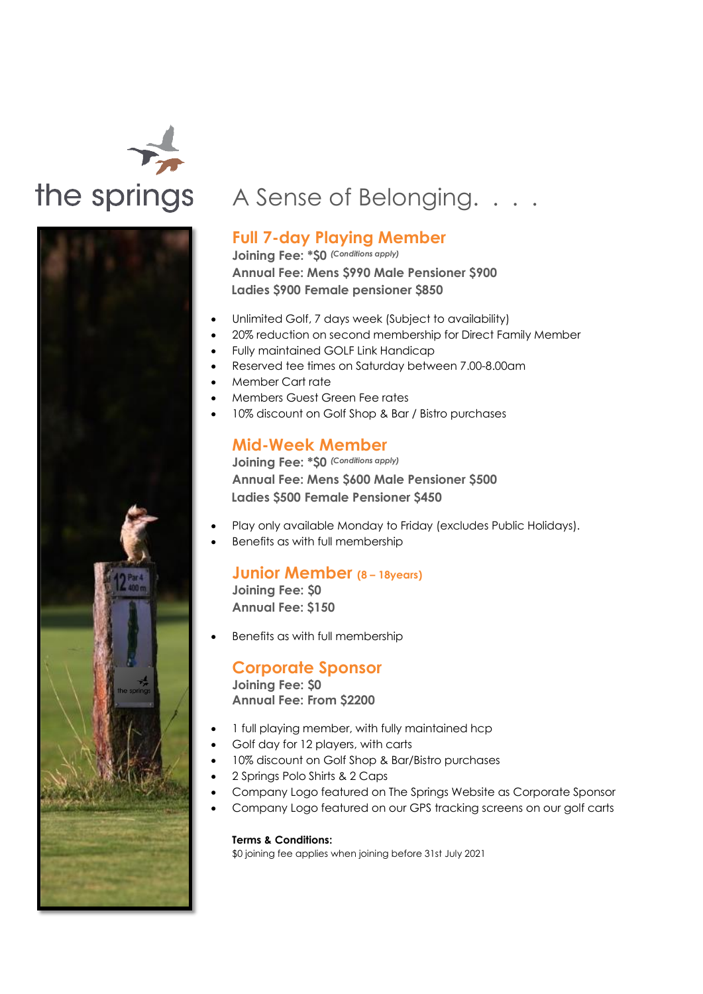



# the springs A Sense of Belonging. . . .

### **Full 7-day Playing Member**

**Joining Fee: \*\$0** *(Conditions apply)* **Annual Fee: Mens \$990 Male Pensioner \$900 Ladies \$900 Female pensioner \$850** 

- Unlimited Golf, 7 days week (Subject to availability)
- 20% reduction on second membership for Direct Family Member
- Fully maintained GOLF Link Handicap
- Reserved tee times on Saturday between 7.00-8.00am
- Member Cart rate
- Members Guest Green Fee rates
- 10% discount on Golf Shop & Bar / Bistro purchases

#### **Mid-Week Member**

**Joining Fee: \*\$0** *(Conditions apply)* **Annual Fee: Mens \$600 Male Pensioner \$500 Ladies \$500 Female Pensioner \$450**

- Play only available Monday to Friday (excludes Public Holidays).
- Benefits as with full membership

## **Junior Member (8 – 18years)**

**Joining Fee: \$0 Annual Fee: \$150**

• Benefits as with full membership

#### **Corporate Sponsor**

**Joining Fee: \$0 Annual Fee: From \$2200**

- 1 full playing member, with fully maintained hcp
- Golf day for 12 players, with carts
- 10% discount on Golf Shop & Bar/Bistro purchases
- 2 Springs Polo Shirts & 2 Caps
- Company Logo featured on The Springs Website as Corporate Sponsor
- Company Logo featured on our GPS tracking screens on our golf carts

#### **Terms & Conditions:**

\$0 joining fee applies when joining before 31st July 2021